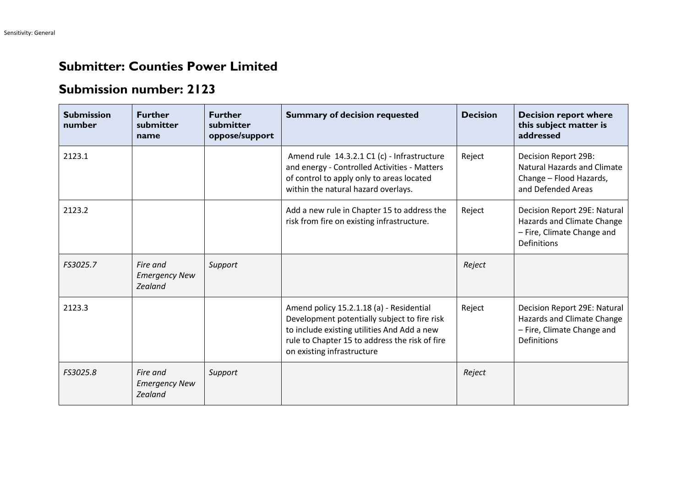## **Submitter: Counties Power Limited**

## **Submission number: 2123**

| <b>Submission</b><br>number | <b>Further</b><br>submitter<br>name                | <b>Further</b><br>submitter<br>oppose/support | <b>Summary of decision requested</b>                                                                                                                                                                                    | <b>Decision</b> | <b>Decision report where</b><br>this subject matter is<br>addressed                                            |
|-----------------------------|----------------------------------------------------|-----------------------------------------------|-------------------------------------------------------------------------------------------------------------------------------------------------------------------------------------------------------------------------|-----------------|----------------------------------------------------------------------------------------------------------------|
| 2123.1                      |                                                    |                                               | Amend rule 14.3.2.1 C1 (c) - Infrastructure<br>and energy - Controlled Activities - Matters<br>of control to apply only to areas located<br>within the natural hazard overlays.                                         | Reject          | Decision Report 29B:<br><b>Natural Hazards and Climate</b><br>Change - Flood Hazards,<br>and Defended Areas    |
| 2123.2                      |                                                    |                                               | Add a new rule in Chapter 15 to address the<br>risk from fire on existing infrastructure.                                                                                                                               | Reject          | Decision Report 29E: Natural<br>Hazards and Climate Change<br>- Fire, Climate Change and<br><b>Definitions</b> |
| FS3025.7                    | Fire and<br><b>Emergency New</b><br><b>Zealand</b> | Support                                       |                                                                                                                                                                                                                         | Reject          |                                                                                                                |
| 2123.3                      |                                                    |                                               | Amend policy 15.2.1.18 (a) - Residential<br>Development potentially subject to fire risk<br>to include existing utilities And Add a new<br>rule to Chapter 15 to address the risk of fire<br>on existing infrastructure | Reject          | Decision Report 29E: Natural<br>Hazards and Climate Change<br>- Fire, Climate Change and<br>Definitions        |
| FS3025.8                    | Fire and<br><b>Emergency New</b><br><b>Zealand</b> | Support                                       |                                                                                                                                                                                                                         | Reject          |                                                                                                                |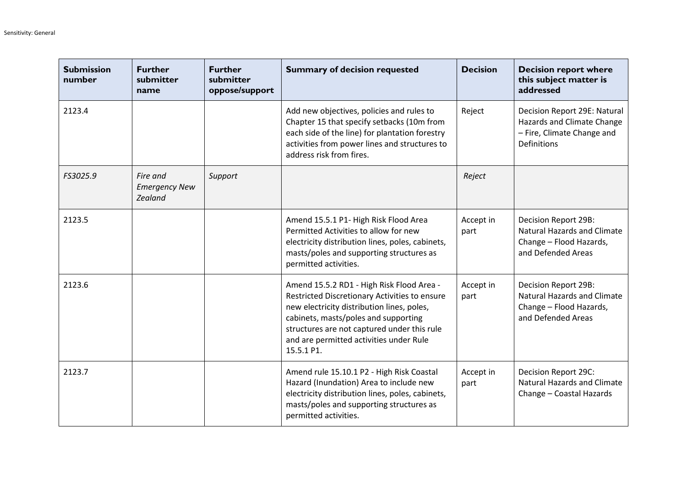| <b>Submission</b><br>number | <b>Further</b><br>submitter<br>name         | <b>Further</b><br>submitter<br>oppose/support | <b>Summary of decision requested</b>                                                                                                                                                                                                                                                     | <b>Decision</b>   | <b>Decision report where</b><br>this subject matter is<br>addressed                                            |
|-----------------------------|---------------------------------------------|-----------------------------------------------|------------------------------------------------------------------------------------------------------------------------------------------------------------------------------------------------------------------------------------------------------------------------------------------|-------------------|----------------------------------------------------------------------------------------------------------------|
| 2123.4                      |                                             |                                               | Add new objectives, policies and rules to<br>Chapter 15 that specify setbacks (10m from<br>each side of the line) for plantation forestry<br>activities from power lines and structures to<br>address risk from fires.                                                                   | Reject            | Decision Report 29E: Natural<br>Hazards and Climate Change<br>- Fire, Climate Change and<br><b>Definitions</b> |
| FS3025.9                    | Fire and<br><b>Emergency New</b><br>Zealand | Support                                       |                                                                                                                                                                                                                                                                                          | Reject            |                                                                                                                |
| 2123.5                      |                                             |                                               | Amend 15.5.1 P1- High Risk Flood Area<br>Permitted Activities to allow for new<br>electricity distribution lines, poles, cabinets,<br>masts/poles and supporting structures as<br>permitted activities.                                                                                  | Accept in<br>part | Decision Report 29B:<br><b>Natural Hazards and Climate</b><br>Change - Flood Hazards,<br>and Defended Areas    |
| 2123.6                      |                                             |                                               | Amend 15.5.2 RD1 - High Risk Flood Area -<br>Restricted Discretionary Activities to ensure<br>new electricity distribution lines, poles,<br>cabinets, masts/poles and supporting<br>structures are not captured under this rule<br>and are permitted activities under Rule<br>15.5.1 P1. | Accept in<br>part | Decision Report 29B:<br><b>Natural Hazards and Climate</b><br>Change - Flood Hazards,<br>and Defended Areas    |
| 2123.7                      |                                             |                                               | Amend rule 15.10.1 P2 - High Risk Coastal<br>Hazard (Inundation) Area to include new<br>electricity distribution lines, poles, cabinets,<br>masts/poles and supporting structures as<br>permitted activities.                                                                            | Accept in<br>part | Decision Report 29C:<br><b>Natural Hazards and Climate</b><br>Change - Coastal Hazards                         |